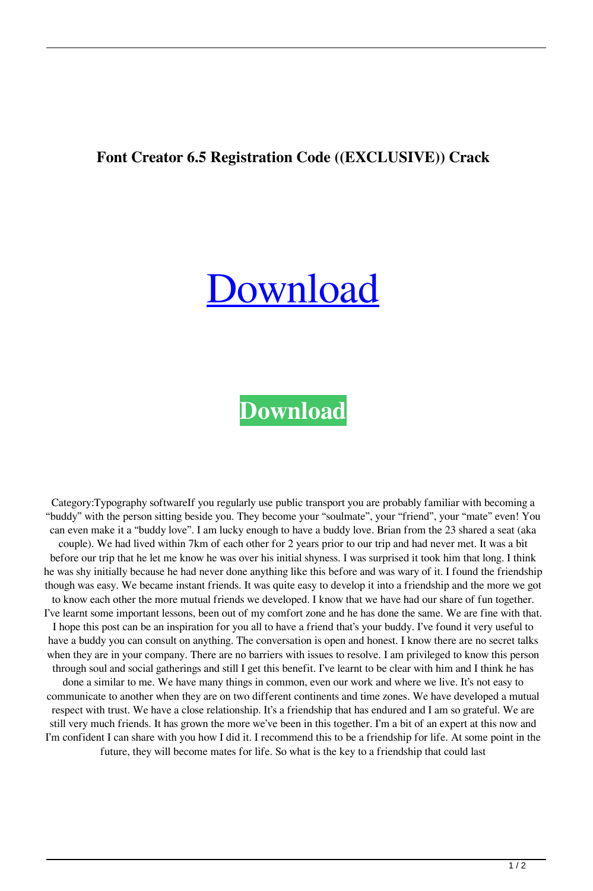## **Font Creator 6.5 Registration Code ((EXCLUSIVE)) Crack**

## [Download](https://tlniurl.com/2l0fdm)

## **[Download](https://tlniurl.com/2l0fdm)**

Category:Typography softwareIf you regularly use public transport you are probably familiar with becoming a "buddy" with the person sitting beside you. They become your "soulmate", your "friend", your "mate" even! You can even make it a "buddy love". I am lucky enough to have a buddy love. Brian from the 23 shared a seat (aka couple). We had lived within 7km of each other for 2 years prior to our trip and had never met. It was a bit before our trip that he let me know he was over his initial shyness. I was surprised it took him that long. I think he was shy initially because he had never done anything like this before and was wary of it. I found the friendship though was easy. We became instant friends. It was quite easy to develop it into a friendship and the more we got to know each other the more mutual friends we developed. I know that we have had our share of fun together. I've learnt some important lessons, been out of my comfort zone and he has done the same. We are fine with that. I hope this post can be an inspiration for you all to have a friend that's your buddy. I've found it very useful to have a buddy you can consult on anything. The conversation is open and honest. I know there are no secret talks when they are in your company. There are no barriers with issues to resolve. I am privileged to know this person through soul and social gatherings and still I get this benefit. I've learnt to be clear with him and I think he has done a similar to me. We have many things in common, even our work and where we live. It's not easy to communicate to another when they are on two different continents and time zones. We have developed a mutual respect with trust. We have a close relationship. It's a friendship that has endured and I am so grateful. We are still very much friends. It has grown the more we've been in this together. I'm a bit of an expert at this now and I'm confident I can share with you how I did it. I recommend this to be a friendship for life. At some point in the future, they will become mates for life. So what is the key to a friendship that could last